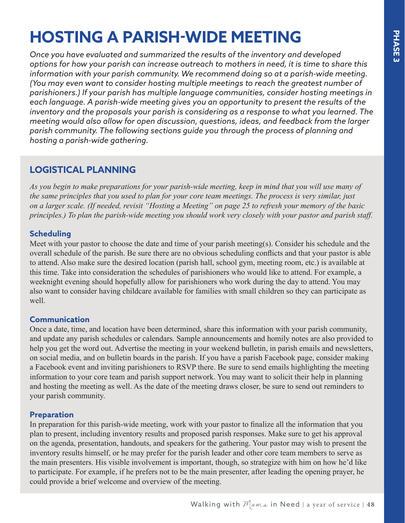# **HOSTING A PARISH-WIDE MEETING**

*Once you have evaluated and summarized the results of the inventory and developed options for how your parish can increase outreach to mothers in need, it is time to share this information with your parish community. We recommend doing so at a parish-wide meeting. (You may even want to consider hosting multiple meetings to reach the greatest number of parishioners.) If your parish has multiple language communities, consider hosting meetings in*  each language. A parish-wide meeting gives you an opportunity to present the results of the *inventory and the proposals your parish is considering as a response to what you learned. The meeting would also allow for open discussion, questions, ideas, and feedback from the larger parish community. The following sections guide you through the process of planning and hosting a parish-wide gathering.* 

## **LOGISTICAL PLANNING**

*As you begin to make preparations for your parish-wide meeting, keep in mind that you will use many of the same principles that you used to plan for your core team meetings. The process is very similar, just on a larger scale. (If needed, revisit "Hosting a Meeting" on page 25 to refresh your memory of the basic principles.) To plan the parish-wide meeting you should work very closely with your pastor and parish staff.*

### **Scheduling**

Meet with your pastor to choose the date and time of your parish meeting(s). Consider his schedule and the overall schedule of the parish. Be sure there are no obvious scheduling conflicts and that your pastor is able to attend. Also make sure the desired location (parish hall, school gym, meeting room, etc.) is available at this time. Take into consideration the schedules of parishioners who would like to attend. For example, a weeknight evening should hopefully allow for parishioners who work during the day to attend. You may also want to consider having childcare available for families with small children so they can participate as well.

#### **Communication**

Once a date, time, and location have been determined, share this information with your parish community, and update any parish schedules or calendars. Sample announcements and homily notes are also provided to help you get the word out. Advertise the meeting in your weekend bulletin, in parish emails and newsletters, on social media, and on bulletin boards in the parish. If you have a parish Facebook page, consider making a Facebook event and inviting parishioners to RSVP there. Be sure to send emails highlighting the meeting information to your core team and parish support network. You may want to solicit their help in planning and hosting the meeting as well. As the date of the meeting draws closer, be sure to send out reminders to your parish community.

## **Preparation**

In preparation for this parish-wide meeting, work with your pastor to finalize all the information that you plan to present, including inventory results and proposed parish responses. Make sure to get his approval on the agenda, presentation, handouts, and speakers for the gathering. Your pastor may wish to present the inventory results himself, or he may prefer for the parish leader and other core team members to serve as the main presenters. His visible involvement is important, though, so strategize with him on how he'd like to participate. For example, if he prefers not to be the main presenter, after leading the opening prayer, he could provide a brief welcome and overview of the meeting.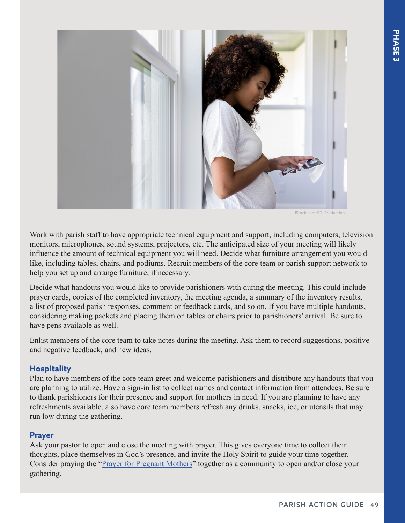

Stock.com/SDI Productions

Work with parish staff to have appropriate technical equipment and support, including computers, television monitors, microphones, sound systems, projectors, etc. The anticipated size of your meeting will likely influence the amount of technical equipment you will need. Decide what furniture arrangement you would like, including tables, chairs, and podiums. Recruit members of the core team or parish support network to help you set up and arrange furniture, if necessary.

Decide what handouts you would like to provide parishioners with during the meeting. This could include prayer cards, copies of the completed inventory, the meeting agenda, a summary of the inventory results, a list of proposed parish responses, comment or feedback cards, and so on. If you have multiple handouts, considering making packets and placing them on tables or chairs prior to parishioners' arrival. Be sure to have pens available as well.

Enlist members of the core team to take notes during the meeting. Ask them to record suggestions, positive and negative feedback, and new ideas.

#### **Hospitality**

Plan to have members of the core team greet and welcome parishioners and distribute any handouts that you are planning to utilize. Have a sign-in list to collect names and contact information from attendees. Be sure to thank parishioners for their presence and support for mothers in need. If you are planning to have any refreshments available, also have core team members refresh any drinks, snacks, ice, or utensils that may run low during the gathering.

#### **Prayer**

Ask your pastor to open and close the meeting with prayer. This gives everyone time to collect their thoughts, place themselves in God's presence, and invite the Holy Spirit to guide your time together. Consider praying the "[Prayer for Pregnant Mothers"](https://www.walkingwithmoms.com/prayer-for-pregnant-mothers) together as a community to open and/or close your gathering.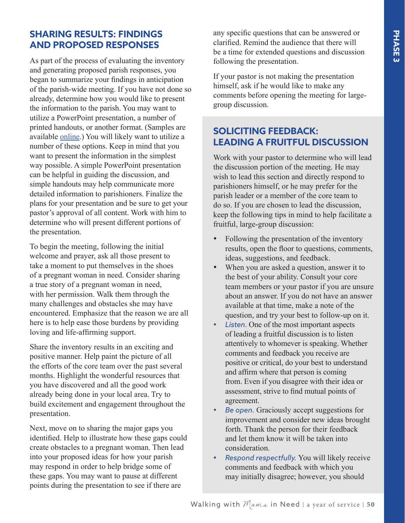## **SHARING RESULTS: FINDINGS AND PROPOSED RESPONSES**

As part of the process of evaluating the inventory and generating proposed parish responses, you began to summarize your findings in anticipation of the parish-wide meeting. If you have not done so already, determine how you would like to present the information to the parish. You may want to utilize a PowerPoint presentation, a number of printed handouts, or another format. (Samples are available [online](https://www.walkingwithmoms.com/supplemental-tools).) You will likely want to utilize a number of these options. Keep in mind that you want to present the information in the simplest way possible. A simple PowerPoint presentation can be helpful in guiding the discussion, and simple handouts may help communicate more detailed information to parishioners. Finalize the plans for your presentation and be sure to get your pastor's approval of all content. Work with him to determine who will present different portions of the presentation.

To begin the meeting, following the initial welcome and prayer, ask all those present to take a moment to put themselves in the shoes of a pregnant woman in need. Consider sharing a true story of a pregnant woman in need, with her permission. Walk them through the many challenges and obstacles she may have encountered. Emphasize that the reason we are all here is to help ease those burdens by providing loving and life-affirming support.

Share the inventory results in an exciting and positive manner. Help paint the picture of all the efforts of the core team over the past several months. Highlight the wonderful resources that you have discovered and all the good work already being done in your local area. Try to build excitement and engagement throughout the presentation.

Next, move on to sharing the major gaps you identified. Help to illustrate how these gaps could create obstacles to a pregnant woman. Then lead into your proposed ideas for how your parish may respond in order to help bridge some of these gaps. You may want to pause at different points during the presentation to see if there are

any specific questions that can be answered or clarified. Remind the audience that there will be a time for extended questions and discussion following the presentation.

If your pastor is not making the presentation himself, ask if he would like to make any comments before opening the meeting for largegroup discussion.

# **SOLICITING FEEDBACK: LEADING A FRUITFUL DISCUSSION**

Work with your pastor to determine who will lead the discussion portion of the meeting. He may wish to lead this section and directly respond to parishioners himself, or he may prefer for the parish leader or a member of the core team to do so. If you are chosen to lead the discussion, keep the following tips in mind to help facilitate a fruitful, large-group discussion:

- Following the presentation of the inventory results, open the floor to questions, comments, ideas, suggestions, and feedback.
- When you are asked a question, answer it to the best of your ability. Consult your core team members or your pastor if you are unsure about an answer. If you do not have an answer available at that time, make a note of the question, and try your best to follow-up on it.
- Listen. One of the most important aspects of leading a fruitful discussion is to listen attentively to whomever is speaking. Whether comments and feedback you receive are positive or critical, do your best to understand and affirm where that person is coming from. Even if you disagree with their idea or assessment, strive to find mutual points of agreement.
- Be open. Graciously accept suggestions for improvement and consider new ideas brought forth. Thank the person for their feedback and let them know it will be taken into consideration.
- • *Respond respectfully.* You will likely receive comments and feedback with which you may initially disagree; however, you should